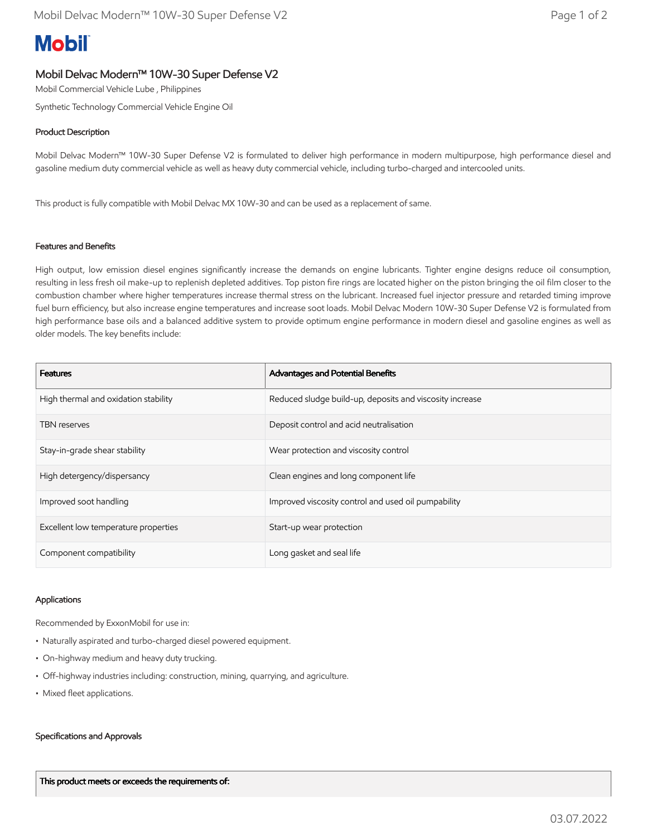# **Mobil**

## Mobil Delvac Modern™ 10W-30 Super Defense V2

Mobil Commercial Vehicle Lube , Philippines

Synthetic Technology Commercial Vehicle Engine Oil

## Product Description

Mobil Delvac Modern™ 10W-30 Super Defense V2 is formulated to deliver high performance in modern multipurpose, high performance diesel and gasoline medium duty commercial vehicle as well as heavy duty commercial vehicle, including turbo-charged and intercooled units.

This product is fully compatible with Mobil Delvac MX 10W-30 and can be used as a replacement of same.

### Features and Benefits

High output, low emission diesel engines significantly increase the demands on engine lubricants. Tighter engine designs reduce oil consumption, resulting in less fresh oil make-up to replenish depleted additives. Top piston fire rings are located higher on the piston bringing the oil film closer to the combustion chamber where higher temperatures increase thermal stress on the lubricant. Increased fuel injector pressure and retarded timing improve fuel burn efficiency, but also increase engine temperatures and increase soot loads. Mobil Delvac Modern 10W-30 Super Defense V2 is formulated from high performance base oils and a balanced additive system to provide optimum engine performance in modern diesel and gasoline engines as well as older models. The key benefits include:

| <b>Features</b>                      | Advantages and Potential Benefits                        |
|--------------------------------------|----------------------------------------------------------|
| High thermal and oxidation stability | Reduced sludge build-up, deposits and viscosity increase |
| <b>TBN</b> reserves                  | Deposit control and acid neutralisation                  |
| Stay-in-grade shear stability        | Wear protection and viscosity control                    |
| High detergency/dispersancy          | Clean engines and long component life                    |
| Improved soot handling               | Improved viscosity control and used oil pumpability      |
| Excellent low temperature properties | Start-up wear protection                                 |
| Component compatibility              | Long gasket and seal life                                |

#### Applications

Recommended by ExxonMobil for use in:

- Naturally aspirated and turbo-charged diesel powered equipment.
- On-highway medium and heavy duty trucking.
- Off-highway industries including: construction, mining, quarrying, and agriculture.
- Mixed fleet applications.

#### Specifications and Approvals